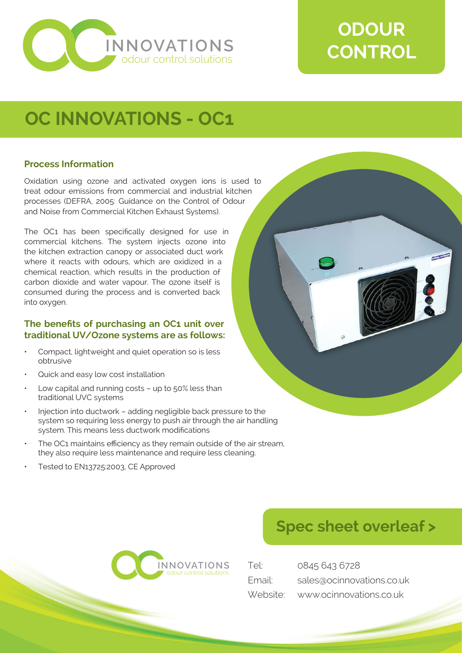

# **ODOUR CONTROL**

## **OC INNOVATIONS - OC1**

#### **Process Information**

Oxidation using ozone and activated oxygen ions is used to treat odour emissions from commercial and industrial kitchen processes (DEFRA, 2005: Guidance on the Control of Odour and Noise from Commercial Kitchen Exhaust Systems).

The OC1 has been specifically designed for use in commercial kitchens. The system injects ozone into the kitchen extraction canopy or associated duct work where it reacts with odours, which are oxidized in a chemical reaction, which results in the production of carbon dioxide and water vapour. The ozone itself is consumed during the process and is converted back into oxygen.

#### **The benefits of purchasing an OC1 unit over traditional UV/Ozone systems are as follows:**

- Compact, lightweight and quiet operation so is less obtrusive
- Quick and easy low cost installation
- Low capital and running costs up to 50% less than traditional UVC systems
- Injection into ductwork adding negligible back pressure to the system so requiring less energy to push air through the air handling system. This means less ductwork modifications
- The OC1 maintains efficiency as they remain outside of the air stream, they also require less maintenance and require less cleaning.
- Tested to EN13725:2003, CE Approved





| Tel:   | 0845 643 6728                    |
|--------|----------------------------------|
| Email: | sales@ocinnovations.co.uk        |
|        | Website: www.ocinnovations.co.uk |